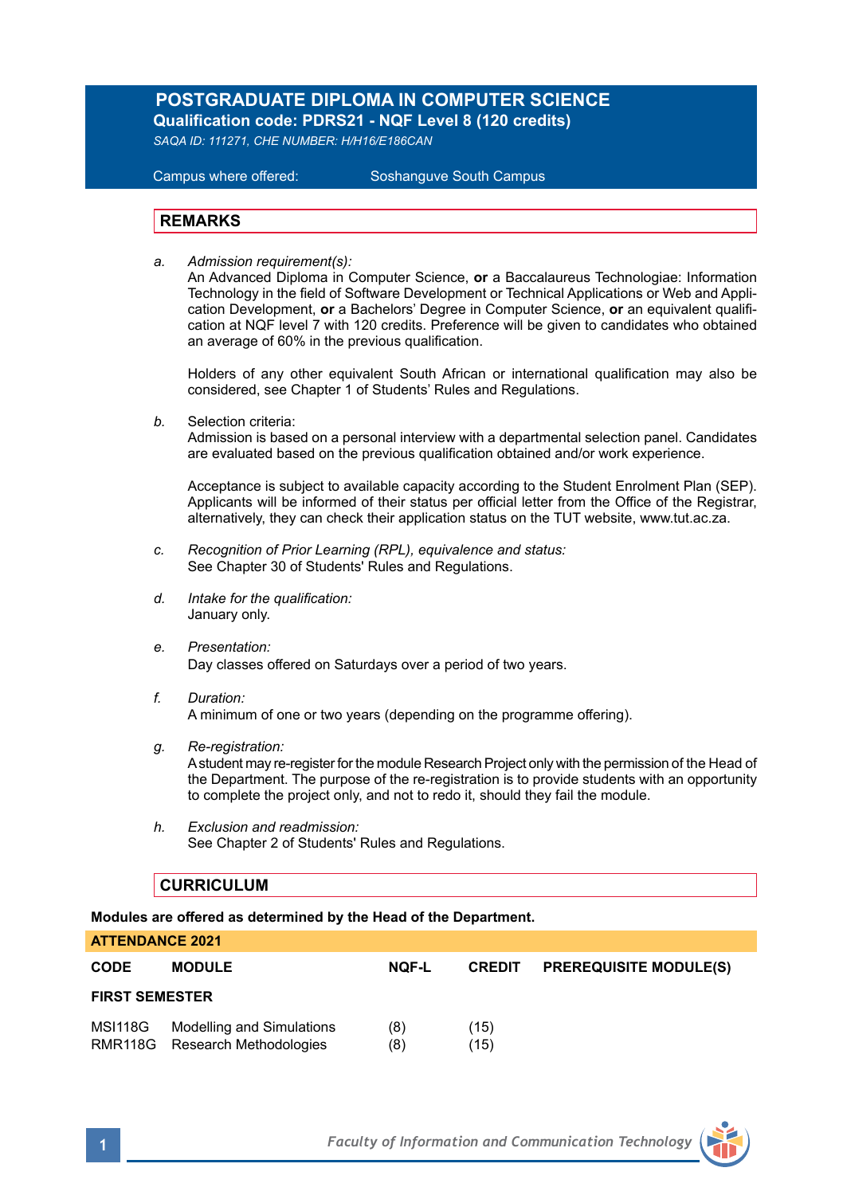# **POSTGRADUATE DIPLOMA IN COMPUTER SCIENCE Qualification code: PDRS21 - NQF Level 8 (120 credits)**

*SAQA ID: 111271, CHE NUMBER: H/H16/E186CAN* 

**Campus where offered:** 

Soshanguve South Campus

## **REMARKS**

*a. Admission requirement(s):* 

An Advanced Diploma in Computer Science, **or** a Baccalaureus Technologiae: Information Technology in the field of Software Development or Technical Applications or Web and Application Development, **or** a Bachelors' Degree in Computer Science, **or** an equivalent qualification at NQF level 7 with 120 credits. Preference will be given to candidates who obtained an average of 60% in the previous qualification.

Holders of any other equivalent South African or international qualification may also be considered, see Chapter 1 of Students' Rules and Regulations.

*b.* Selection criteria:

Admission is based on a personal interview with a departmental selection panel. Candidates are evaluated based on the previous qualification obtained and/or work experience.

Acceptance is subject to available capacity according to the Student Enrolment Plan (SEP). Applicants will be informed of their status per official letter from the Office of the Registrar, alternatively, they can check their application status on the TUT website, www.tut.ac.za.

- *c. Recognition of Prior Learning (RPL), equivalence and status:* See Chapter 30 of Students' Rules and Regulations.
- *d. Intake for the qualification:* January only.
- *e. Presentation:* Day classes offered on Saturdays over a period of two years.
- *f. Duration:* A minimum of one or two years (depending on the programme offering).
- *g. Re-registration:*

A student may re-register for the module Research Project only with the permission of the Head of the Department. The purpose of the re-registration is to provide students with an opportunity to complete the project only, and not to redo it, should they fail the module.

*h. Exclusion and readmission:* See Chapter 2 of Students' Rules and Regulations.

## **CURRICULUM**

## **Modules are offered as determined by the Head of the Department.**

| <b>ATTENDANCE 2021</b> |                                                                     |              |               |                               |  |
|------------------------|---------------------------------------------------------------------|--------------|---------------|-------------------------------|--|
| <b>CODE</b>            | <b>MODULE</b>                                                       | <b>NOF-L</b> | <b>CREDIT</b> | <b>PREREQUISITE MODULE(S)</b> |  |
| <b>FIRST SEMESTER</b>  |                                                                     |              |               |                               |  |
|                        | MSI118G Modelling and Simulations<br>RMR118G Research Methodologies | (8)<br>(8)   | (15)<br>(15)  |                               |  |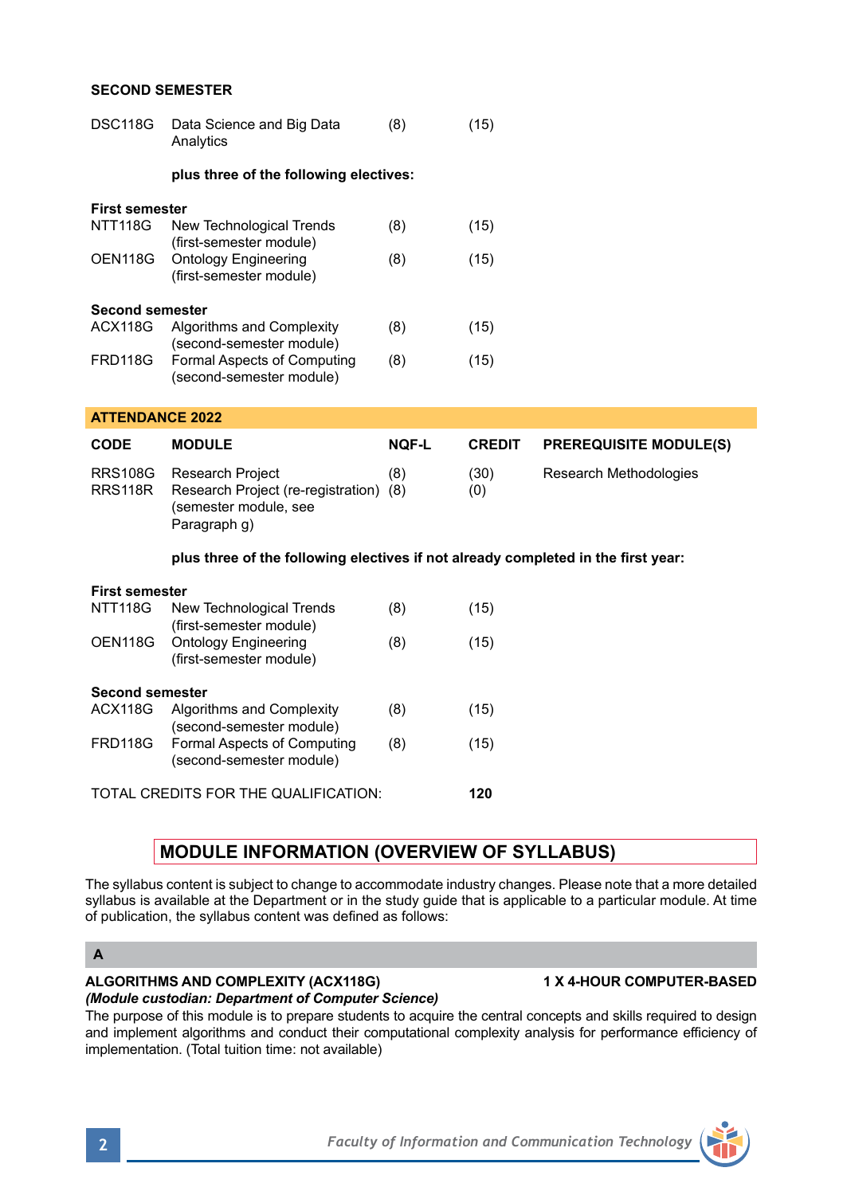## **SECOND SEMESTER**

| <b>DSC118G</b>         | Data Science and Big Data<br>Analytics                  | (8) | (15) |  |  |
|------------------------|---------------------------------------------------------|-----|------|--|--|
|                        | plus three of the following electives:                  |     |      |  |  |
| <b>First semester</b>  |                                                         |     |      |  |  |
| <b>NTT118G</b>         | New Technological Trends<br>(first-semester module)     | (8) | (15) |  |  |
| OEN118G                | <b>Ontology Engineering</b><br>(first-semester module)  | (8) | (15) |  |  |
| <b>Second semester</b> |                                                         |     |      |  |  |
| ACX118G                | Algorithms and Complexity<br>(second-semester module)   | (8) | (15) |  |  |
| FRD118G                | Formal Aspects of Computing<br>(second-semester module) | (8) | (15) |  |  |

## **ATTENDANCE 2022**

| <b>CODE</b> | <b>MODULE</b>                                                                                               | <b>NOF-L</b> | <b>CREDIT</b> | <b>PREREQUISITE MODULE(S)</b> |
|-------------|-------------------------------------------------------------------------------------------------------------|--------------|---------------|-------------------------------|
| RRS118R     | RRS108G Research Project<br>Research Project (re-registration) (8)<br>(semester module, see<br>Paragraph q) | (8)          | (30)<br>(0)   | Research Methodologies        |

## **plus three of the following electives if not already completed in the first year:**

| <b>First semester</b>                |                                                       |     |      |
|--------------------------------------|-------------------------------------------------------|-----|------|
| <b>NTT118G</b>                       | New Technological Trends                              | (8) | (15) |
|                                      | (first-semester module)                               |     |      |
| OEN118G                              | <b>Ontology Engineering</b>                           | (8) | (15) |
|                                      | (first-semester module)                               |     |      |
| <b>Second semester</b>               |                                                       |     |      |
| ACX118G                              | Algorithms and Complexity<br>(second-semester module) | (8) | (15) |
| <b>FRD118G</b>                       | Formal Aspects of Computing                           | (8) | (15) |
|                                      | (second-semester module)                              |     |      |
| TOTAL CREDITS FOR THE QUALIFICATION: |                                                       |     |      |

# **MODULE INFORMATION (OVERVIEW OF SYLLABUS)**

The syllabus content is subject to change to accommodate industry changes. Please note that a more detailed syllabus is available at the Department or in the study guide that is applicable to a particular module. At time of publication, the syllabus content was defined as follows:

## **A**

# **ALGORITHMS AND COMPLEXITY (ACX118G) 1 X 4-HOUR COMPUTER-BASED**

# *(Module custodian: Department of Computer Science)*

The purpose of this module is to prepare students to acquire the central concepts and skills required to design and implement algorithms and conduct their computational complexity analysis for performance efficiency of implementation. (Total tuition time: not available)